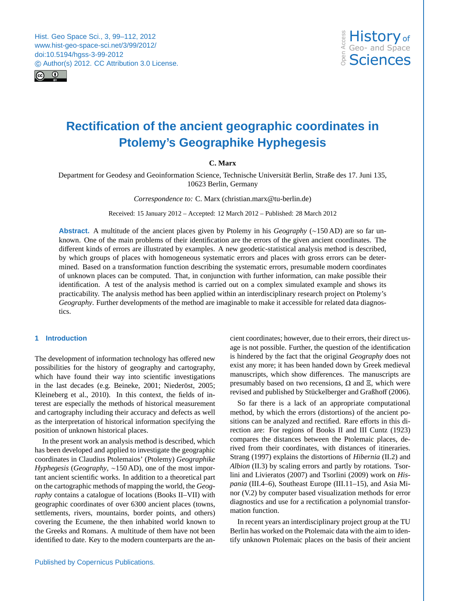<span id="page-0-0"></span>



**CMYK RGBB** 

# **Rectification of the ancient geographic coordinates in Ptolemy's Geographike Hyphegesis**

# **C. Marx**

Department for Geodesy and Geoinformation Science, Technische Universität Berlin, Straße des 17. Juni 135, 10623 Berlin, Germany

*Correspondence to:* C. Marx (christian.marx@tu-berlin.de)

Received: 15 January 2012 – Accepted: 12 March 2012 – Published: 28 March 2012

different kinds of errors are illustrated by examples. A new geodetic-statistical analysis method is described,<br>by which groups of places with homogeneous systematic errors and places with gross errors can be determined. Based on a transformation function describing the systematic errors, presumable modern coordinates<br>of unknown places can be computed. That, in conjunction with further information, can make possible their od<br>s<br>er **Abstract.** A multitude of the ancient places given by Ptolemy in his *Geography* (∼150 AD) are so far unknown. One of the main problems of their identification are the errors of the given ancient coordinates. The by which groups of places with homogeneous systematic errors and places with gross errors can be determined. Based on a transformation function describing the systematic errors, presumable modern coordinates identification. A test of the analysis method is carried out on a complex simulated example and shows its practicability. The analysis method has been applied within an interdisciplinary research project on Ptolemy's *Geography*. Further developments of the method are imaginable to make it accessible for related data diagnostics.

# **1 Introduction**

The development of information technology has offered new possibilities for the history of geography and cartography, which have found their way into scientific investigations in the last decades (e.g. [Beineke,](#page-12-0) [2001;](#page-12-0) Niederöst, [2005;](#page-12-1) [Kleineberg et al.,](#page-12-2) [2010\)](#page-12-2). In this context, the fields of interest are especially the methods of historical measurement and cartography including their accuracy and defects as well as the interpretation of historical information specifying the position of unknown historical places.

In the present work an analysis method is described, which has been developed and applied to investigate the geographic coordinates in Claudius Ptolemaios' (Ptolemy) *Geographike Hyphegesis* (*Geography*, ~150 AD), one of the most important ancient scientific works. In addition to a theoretical part on the cartographic methods of mapping the world, the *Geography* contains a catalogue of locations (Books II–VII) with geographic coordinates of over 6300 ancient places (towns, settlements, rivers, mountains, border points, and others) covering the Ecumene, the then inhabited world known to the Greeks and Romans. A multitude of them have not been identified to date. Key to the modern counterparts are the ancient coordinates; however, due to their errors, their direct usage is not possible. Further, the question of the identification is hindered by the fact that the original *Geography* does not exist any more; it has been handed down by Greek medieval manuscripts, which show differences. The manuscripts are presumably based on two recensions,  $\Omega$  and  $\Xi$ , which were revised and published by Stückelberger and Graßhoff [\(2006\)](#page-13-0).

So far there is a lack of an appropriate computational method, by which the errors (distortions) of the ancient positions can be analyzed and rectified. Rare efforts in this direction are: For regions of Books II and III [Cuntz](#page-12-3) [\(1923\)](#page-12-3) compares the distances between the Ptolemaic places, derived from their coordinates, with distances of itineraries. [Strang](#page-13-1) [\(1997\)](#page-13-1) explains the distortions of *Hibernia* (II.2) and *Albion* (II.3) by scaling errors and partly by rotations. [Tsor](#page-13-2)[lini and Livieratos](#page-13-2) [\(2007\)](#page-13-2) and [Tsorlini](#page-13-3) [\(2009\)](#page-13-3) work on *Hispania* (III.4–6), Southeast Europe (III.11–15), and Asia Minor (V.2) by computer based visualization methods for error diagnostics and use for a rectification a polynomial transformation function.

In recent years an interdisciplinary project group at the TU Berlin has worked on the Ptolemaic data with the aim to identify unknown Ptolemaic places on the basis of their ancient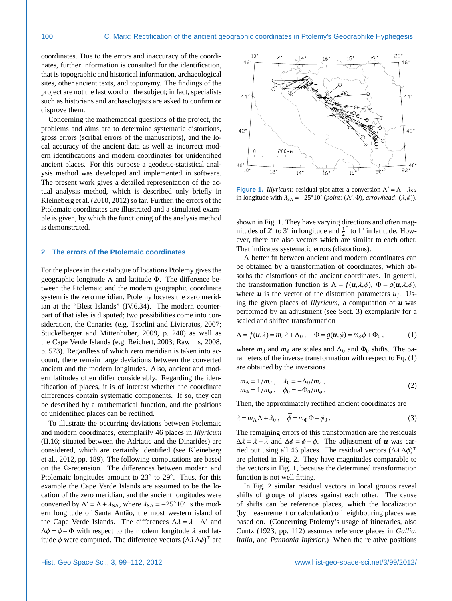coordinates. Due to the errors and inaccuracy of the coordinates, further information is consulted for the identification, that is topographic and historical information, archaeological sites, other ancient texts, and toponymy. The findings of the project are not the last word on the subject; in fact, specialists such as historians and archaeologists are asked to confirm or disprove them.

Concerning the mathematical questions of the project, the problems and aims are to determine systematic distortions, gross errors (scribal errors of the manuscripts), and the local accuracy of the ancient data as well as incorrect modern identifications and modern coordinates for unidentified ancient places. For this purpose a geodetic-statistical analysis method was developed and implemented in software. The present work gives a detailed representation of the actual analysis method, which is described only briefly in [Kleineberg et al.](#page-12-2) [\(2010,](#page-12-2) [2012\)](#page-12-4) so far. Further, the errors of the Ptolemaic coordinates are illustrated and a simulated example is given, by which the functioning of the analysis method is demonstrated.

### <span id="page-1-3"></span>**2 The errors of the Ptolemaic coordinates**

For the places in the catalogue of locations Ptolemy gives the geographic longitude Λ and latitude Φ. The difference between the Ptolemaic and the modern geographic coordinate system is the zero meridian. Ptolemy locates the zero meridian at the "Blest Islands" (IV.6.34). The modern counterpart of that isles is disputed; two possibilities come into consideration, the Canaries (e.g. [Tsorlini and Livieratos,](#page-13-2) [2007;](#page-13-2) Stückelberger and Mittenhuber, [2009,](#page-13-4) p. 240) as well as the Cape Verde Islands (e.g. [Reichert,](#page-13-5) [2003;](#page-13-5) [Rawlins,](#page-13-6) [2008,](#page-13-6) p. 573). Regardless of which zero meridian is taken into account, there remain large deviations between the converted ancient and the modern longitudes. Also, ancient and modern latitudes often differ considerably. Regarding the identification of places, it is of interest whether the coordinate differences contain systematic components. If so, they can be described by a mathematical function, and the positions of unidentified places can be rectified.

To illustrate the occurring deviations between Ptolemaic and modern coordinates, exemplarily 46 places in *Illyricum* (II.16; situated between the Adriatic and the Dinarides) are considered, which are certainly identified (see [Kleineberg](#page-12-4) [et al.,](#page-12-4) [2012,](#page-12-4) pp. 189). The following computations are based on the Ω-recension. The differences between modern and Ptolemaic longitudes amount to 23° to 29°. Thus, for this example the Cape Verde Islands are assumed to be the location of the zero meridian, and the ancient longitudes were converted by  $\Lambda' = \Lambda + \lambda_{SA}$ , where  $\lambda_{SA} = -25°10'$  is the mod-<br>ern longitude of Santa Antão, the most western island of ern longitude of Santa Antão, the most western island of the Cape Verde Islands. The differences  $\Delta \lambda = \lambda - \Lambda'$  and  $\Delta \phi = \phi - \Phi$  with respect to the modern longitude  $\lambda$  and lat- $\Delta \phi = \phi - \Phi$  with respect to the modern longitude  $\lambda$  and latitude  $\phi$  were computed. The difference vectors  $(\Delta \lambda \Delta \phi)^{\top}$  are



<span id="page-1-0"></span>**Figure 1.** *Illyricum*: residual plot after a conversion  $\Lambda' = \Lambda + \lambda_{SA}$ <br>in longitude with  $\lambda_{SA} = -25^\circ 10'$  (point:  $(\Lambda'$  Φ) arrowhead:  $(\lambda \phi)$ ) in longitude with  $\lambda_{SA} = -25°10'$  (*point*: ( $\Lambda$ ', $\Phi$ ), *arrowhead*: ( $\lambda$ , $\phi$ )).

shown in Fig. [1.](#page-1-0) They have varying directions and often magnitudes of 2 $\degree$  to 3 $\degree$  in longitude and  $\frac{1}{2}$  $\degree$  to 1 $\degree$  in latitude. However, there are also vectors which are similar to each other. That indicates systematic errors (distortions).

A better fit between ancient and modern coordinates can be obtained by a transformation of coordinates, which absorbs the distortions of the ancient coordinates. In general, the transformation function is  $\Lambda = f(u, \lambda, \phi)$ ,  $\Phi = g(u, \lambda, \phi)$ , where  $u$  is the vector of the distortion parameters  $u_j$ . Using the given places of *Illyricum*, a computation of *u* was performed by an adjustment (see Sect. [3\)](#page-3-0) exemplarily for a scaled and shifted transformation

<span id="page-1-1"></span>
$$
\Lambda = f(\boldsymbol{u}, \lambda) = m_{\lambda} \lambda + \Lambda_0 , \quad \Phi = g(\boldsymbol{u}, \phi) = m_{\phi} \phi + \Phi_0 , \qquad (1)
$$

where  $m_{\lambda}$  and  $m_{\phi}$  are scales and  $\Lambda_0$  and  $\Phi_0$  shifts. The parameters of the inverse transformation with respect to Eq. [\(1\)](#page-1-1) are obtained by the inversions

$$
m_{\Lambda} = 1/m_{\lambda}, \quad \lambda_0 = -\Lambda_0/m_{\lambda}, m_{\Phi} = 1/m_{\phi}, \quad \phi_0 = -\Phi_0/m_{\phi}. \tag{2}
$$

Then, the approximately rectified ancient coordinates are

<span id="page-1-2"></span>
$$
\bar{\lambda} = m_{\Lambda} \Lambda + \lambda_0 \,, \quad \bar{\phi} = m_{\Phi} \Phi + \phi_0 \,. \tag{3}
$$

The remaining errors of this transformation are the residuals  $\Delta \lambda = \lambda - \overline{\lambda}$  and  $\Delta \phi = \phi - \overline{\phi}$ . The adjustment of *u* was carried out using all 46 places. The residual vectors  $(\Delta \lambda \Delta \phi)^T$ <br>are plotted in Fig. 2. They have magnitudes comparable to are plotted in Fig. [2.](#page-2-0) They have magnitudes comparable to the vectors in Fig. [1,](#page-1-0) because the determined transformation function is not well fitting.

In Fig. [2](#page-2-0) similar residual vectors in local groups reveal shifts of groups of places against each other. The cause of shifts can be reference places, which the localization (by measurement or calculation) of neighbouring places was based on. (Concerning Ptolemy's usage of itineraries, also [Cuntz](#page-12-3) [\(1923,](#page-12-3) pp. 112) assumes reference places in *Gallia*, *Italia*, and *Pannonia Inferior*.) When the relative positions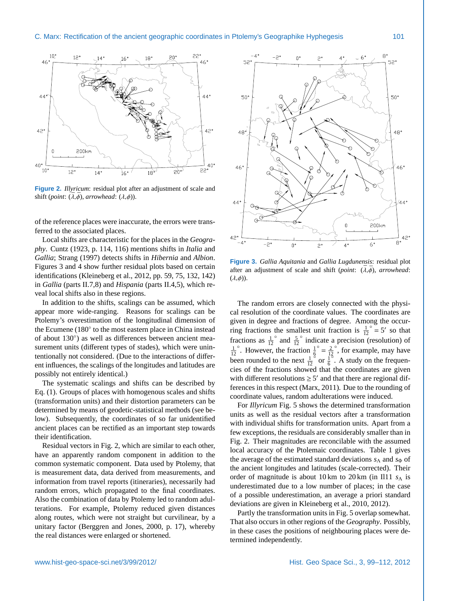

<span id="page-2-0"></span>**Figure 2.** *Illyricum*: residual plot after an adjustment of scale and shift (*point*:  $(\bar{\lambda}, \bar{\phi})$ , *arrowhead*:  $(\lambda, \phi)$ ).

of the reference places were inaccurate, the errors were transferred to the associated places.

Local shifts are characteristic for the places in the *Geography*. [Cuntz](#page-12-3) [\(1923,](#page-12-3) p. 114, 116) mentions shifts in *Italia* and *Gallia*; [Strang](#page-13-1) [\(1997\)](#page-13-1) detects shifts in *Hibernia* and *Albion*. Figures [3](#page-2-1) and [4](#page-3-1) show further residual plots based on certain identifications [\(Kleineberg et al.,](#page-12-4) [2012,](#page-12-4) pp. 59, 75, 132, 142) in *Gallia* (parts II.7,8) and *Hispania* (parts II.4,5), which reveal local shifts also in these regions.

In addition to the shifts, scalings can be assumed, which appear more wide-ranging. Reasons for scalings can be Ptolemy's overestimation of the longitudinal dimension of the Ecumene (180° to the most eastern place in China instead of about 130◦ ) as well as differences between ancient measurement units (different types of stades), which were unintentionally not considered. (Due to the interactions of different influences, the scalings of the longitudes and latitudes are possibly not entirely identical.)

The systematic scalings and shifts can be described by Eq. [\(1\)](#page-1-1). Groups of places with homogenous scales and shifts (transformation units) and their distortion parameters can be determined by means of geodetic-statistical methods (see below). Subsequently, the coordinates of so far unidentified ancient places can be rectified as an important step towards their identification.

Residual vectors in Fig. [2,](#page-2-0) which are similar to each other, have an apparently random component in addition to the common systematic component. Data used by Ptolemy, that is measurement data, data derived from measurements, and information from travel reports (itineraries), necessarily had random errors, which propagated to the final coordinates. Also the combination of data by Ptolemy led to random adulterations. For example, Ptolemy reduced given distances along routes, which were not straight but curvilinear, by a unitary factor [\(Berggren and Jones,](#page-12-5) [2000,](#page-12-5) p. 17), whereby the real distances were enlarged or shortened.



<span id="page-2-1"></span>**Figure 3.** *Gallia Aquitania* and *Gallia Lugdunensis*: residual plot after an adjustment of scale and shift (*point*:  $(\overline{\lambda}, \overline{\phi})$ , *arrowhead*:  $(\lambda, \phi)$ ).

The random errors are closely connected with the physical resolution of the coordinate values. The coordinates are given in degree and fractions of degree. Among the occurring fractions the smallest unit fraction is  $\frac{1}{12}$ ° = 5' so that fractions as  $\frac{1}{12}^\circ$  and  $\frac{5}{12}^\circ$  indicate a precision (  $\degree$  and  $\frac{5}{12}$ ◦ indicate a precision (resolution) of  $\frac{1}{12}$ °. However, the fraction  $\frac{1}{6}$  $\frac{0}{12} = \frac{2}{12}$ ◦ , for example, may have been rounded to the next  $\frac{1}{12}$  $\frac{8}{9}$  or  $\frac{1}{6}$  $\frac{5}{6}$ . A study on the frequencies of the fractions showed that the coordinates are given with different resolutions  $\geq 5'$  and that there are regional differences in this respect [\(Marx,](#page-12-6) [2011\)](#page-12-6). Due to the rounding of coordinate values, random adulterations were induced.

For *Illyricum* Fig. [5](#page-3-2) shows the determined transformation units as well as the residual vectors after a transformation with individual shifts for transformation units. Apart from a few exceptions, the residuals are considerably smaller than in Fig. [2.](#page-2-0) Their magnitudes are reconcilable with the assumed local accuracy of the Ptolemaic coordinates. Table [1](#page-3-3) gives the average of the estimated standard deviations *s*<sub>Λ</sub> and *s*<sub>Φ</sub> of the ancient longitudes and latitudes (scale-corrected). Their order of magnitude is about 10 km to 20 km (in Il11 *s*<sup>Λ</sup> is underestimated due to a low number of places; in the case of a possible underestimation, an average a priori standard deviations are given in [Kleineberg et al.,](#page-12-2) [2010,](#page-12-2) [2012\)](#page-12-4).

Partly the transformation units in Fig. [5](#page-3-2) overlap somewhat. That also occurs in other regions of the *Geography*. Possibly, in these cases the positions of neighbouring places were determined independently.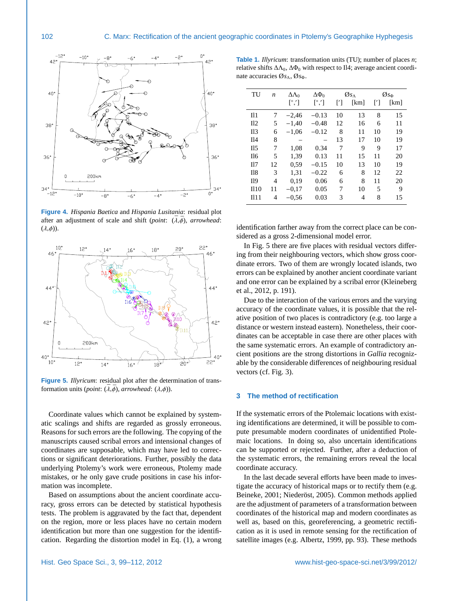

<span id="page-3-1"></span>**Figure 4.** *Hispania Baetica* and *Hispania Lusitania*: residual plot after an adjustment of scale and shift (*point*:  $(\bar{\lambda}, \bar{\phi})$ , *arrowhead*:  $(\lambda, \phi)$ ).



<span id="page-3-2"></span>**Figure 5.** *Illyricum*: residual plot after the determination of transformation units (*point*:  $(\overline{\lambda}, \overline{\phi})$ , *arrowhead*:  $(\lambda, \phi)$ ).

Coordinate values which cannot be explained by systematic scalings and shifts are regarded as grossly erroneous. Reasons for such errors are the following. The copying of the manuscripts caused scribal errors and intensional changes of coordinates are supposable, which may have led to corrections or significant deteriorations. Further, possibly the data underlying Ptolemy's work were erroneous, Ptolemy made mistakes, or he only gave crude positions in case his information was incomplete.

Based on assumptions about the ancient coordinate accuracy, gross errors can be detected by statistical hypothesis tests. The problem is aggravated by the fact that, dependent on the region, more or less places have no certain modern identification but more than one suggestion for the identification. Regarding the distortion model in Eq. [\(1\)](#page-1-1), a wrong

<span id="page-3-3"></span>**Table 1.** *Illyricum*: transformation units (TU); number of places *n*; relative shifts  $\Delta \Lambda_0$ ,  $\Delta \Phi_0$  with respect to Il4; average ancient coordinate accuracies Ø*s*<sub>Λ</sub>, Ø*s*<sub>Φ</sub>.

| TU              | n  | $\Delta\Lambda_0$      | $\Delta\Phi_0$           | $\mathcal{O}_{S_{\Lambda}}$ |      | $\mathcal{O}_{s_{\Phi}}$ |      |
|-----------------|----|------------------------|--------------------------|-----------------------------|------|--------------------------|------|
|                 |    | $\lceil^\circ, \rceil$ | $\lceil^\circ, ' \rceil$ | [']                         | [km] | [']                      | [km] |
| $^{\rm II1}$    | 7  | $-2,46$                | $-0.13$                  | 10                          | 13   | 8                        | 15   |
| II2             | 5  | $-1,40$                | $-0.48$                  | 12                          | 16   | 6                        | 11   |
| II <sub>3</sub> | 6  | $-1,06$                | $-0.12$                  | 8                           | 11   | 10                       | 19   |
| Il4             | 8  |                        |                          | 13                          | 17   | 10                       | 19   |
| II <sub>5</sub> | 7  | 1,08                   | 0.34                     | 7                           | 9    | 9                        | 17   |
| II6             | 5  | 1.39                   | 0.13                     | 11                          | 15   | 11                       | 20   |
| II7             | 12 | 0.59                   | $-0.15$                  | 10                          | 13   | 10                       | 19   |
| $18$            | 3  | 1,31                   | $-0.22$                  | 6                           | 8    | 12                       | 22   |
| <b>I</b> 19     | 4  | 0.19                   | 0.06                     | 6                           | 8    | 11                       | 20   |
| II10            | 11 | $-0.17$                | 0.05                     | 7                           | 10   | 5                        | 9    |
| II11            | 4  | $-0.56$                | 0.03                     | 3                           | 4    | 8                        | 15   |

identification farther away from the correct place can be considered as a gross 2-dimensional model error.

In Fig. [5](#page-3-2) there are five places with residual vectors differing from their neighbouring vectors, which show gross coordinate errors. Two of them are wrongly located islands, two errors can be explained by another ancient coordinate variant and one error can be explained by a scribal error [\(Kleineberg](#page-12-4) [et al.,](#page-12-4) [2012,](#page-12-4) p. 191).

Due to the interaction of the various errors and the varying accuracy of the coordinate values, it is possible that the relative position of two places is contradictory (e.g. too large a distance or western instead eastern). Nonetheless, their coordinates can be acceptable in case there are other places with the same systematic errors. An example of contradictory ancient positions are the strong distortions in *Gallia* recognizable by the considerable differences of neighbouring residual vectors (cf. Fig. [3\)](#page-2-1).

#### <span id="page-3-0"></span>**3 The method of rectification**

If the systematic errors of the Ptolemaic locations with existing identifications are determined, it will be possible to compute presumable modern coordinates of unidentified Ptolemaic locations. In doing so, also uncertain identifications can be supported or rejected. Further, after a deduction of the systematic errors, the remaining errors reveal the local coordinate accuracy.

In the last decade several efforts have been made to investigate the accuracy of historical maps or to rectify them (e.g. [Beineke,](#page-12-0) [2001;](#page-12-0) Niederöst, [2005\)](#page-12-1). Common methods applied are the adjustment of parameters of a transformation between coordinates of the historical map and modern coordinates as well as, based on this, georeferencing, a geometric rectification as it is used in remote sensing for the rectification of satellite images (e.g. [Albertz,](#page-12-7) [1999,](#page-12-7) pp. 93). These methods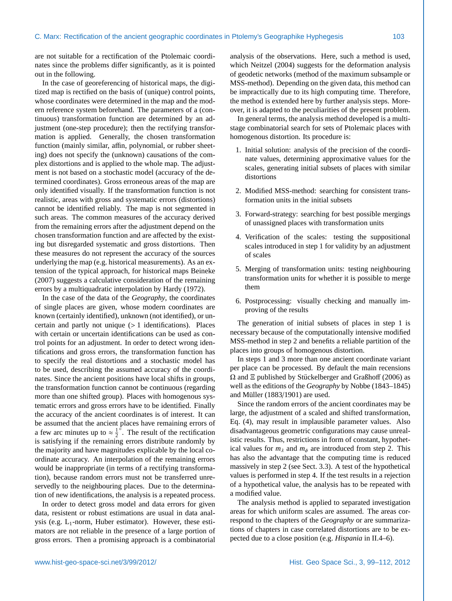are not suitable for a rectification of the Ptolemaic coordinates since the problems differ significantly, as it is pointed out in the following.

In the case of georeferencing of historical maps, the digitized map is rectified on the basis of (unique) control points, whose coordinates were determined in the map and the modern reference system beforehand. The parameters of a (continuous) transformation function are determined by an adjustment (one-step procedure); then the rectifying transformation is applied. Generally, the chosen transformation function (mainly similar, affin, polynomial, or rubber sheeting) does not specify the (unknown) causations of the complex distortions and is applied to the whole map. The adjustment is not based on a stochastic model (accuracy of the determined coordinates). Gross erroneous areas of the map are only identified visually. If the transformation function is not realistic, areas with gross and systematic errors (distortions) cannot be identified reliably. The map is not segmented in such areas. The common measures of the accuracy derived from the remaining errors after the adjustment depend on the chosen transformation function and are affected by the existing but disregarded systematic and gross distortions. Then these measures do not represent the accuracy of the sources underlying the map (e.g. historical measurements). As an extension of the typical approach, for historical maps [Beineke](#page-12-8) [\(2007\)](#page-12-8) suggests a calculative consideration of the remaining errors by a multiquadratic interpolation by [Hardy](#page-12-9) [\(1972\)](#page-12-9).

In the case of the data of the *Geography*, the coordinates of single places are given, whose modern coordinates are known (certainly identified), unknown (not identified), or uncertain and partly not unique (> 1 identifications). Places with certain or uncertain identifications can be used as control points for an adjustment. In order to detect wrong identifications and gross errors, the transformation function has to specify the real distortions and a stochastic model has to be used, describing the assumed accuracy of the coordinates. Since the ancient positions have local shifts in groups, the transformation function cannot be continuous (regarding more than one shifted group). Places with homogenous systematic errors and gross errors have to be identified. Finally the accuracy of the ancient coordinates is of interest. It can be assumed that the ancient places have remaining errors of a few arc minutes up to  $\approx \frac{1}{2}$ ◦ . The result of the rectification is satisfying if the remaining errors distribute randomly by the majority and have magnitudes explicable by the local coordinate accuracy. An interpolation of the remaining errors would be inappropriate (in terms of a rectifying transformation), because random errors must not be transferred unreservedly to the neighbouring places. Due to the determination of new identifications, the analysis is a repeated process.

In order to detect gross model and data errors for given data, resistent or robust estimations are usual in data analysis (e.g.  $L_1$ -norm, Huber estimator). However, these estimators are not reliable in the presence of a large portion of gross errors. Then a promising approach is a combinatorial

analysis of the observations. Here, such a method is used, which [Neitzel](#page-12-10) [\(2004\)](#page-12-10) suggests for the deformation analysis of geodetic networks (method of the maximum subsample or MSS-method). Depending on the given data, this method can be impractically due to its high computing time. Therefore, the method is extended here by further analysis steps. Moreover, it is adapted to the peculiarities of the present problem.

In general terms, the analysis method developed is a multistage combinatorial search for sets of Ptolemaic places with homogenous distortion. Its procedure is:

- 1. Initial solution: analysis of the precision of the coordinate values, determining approximative values for the scales, generating initial subsets of places with similar distortions
- 2. Modified MSS-method: searching for consistent transformation units in the initial subsets
- 3. Forward-strategy: searching for best possible mergings of unassigned places with transformation units
- 4. Verification of the scales: testing the suppositional scales introduced in step 1 for validity by an adjustment of scales
- 5. Merging of transformation units: testing neighbouring transformation units for whether it is possible to merge them
- 6. Postprocessing: visually checking and manually improving of the results

The generation of initial subsets of places in step 1 is necessary because of the computationally intensive modified MSS-method in step 2 and benefits a reliable partition of the places into groups of homogenous distortion.

In steps 1 and 3 more than one ancient coordinate variant per place can be processed. By default the main recensions  $Ω$  and  $E$  published by Stückelberger and Graßhoff [\(2006\)](#page-13-0) as well as the editions of the *Geography* by [Nobbe](#page-12-11) [\(1843–1845\)](#page-12-11) and Müller  $(1883/1901)$  $(1883/1901)$  are used.

Since the random errors of the ancient coordinates may be large, the adjustment of a scaled and shifted transformation. Eq. [\(4\)](#page-5-0), may result in implausible parameter values. Also disadvantageous geometric configurations may cause unrealistic results. Thus, restrictions in form of constant, hypothetical values for  $m_\lambda$  and  $m_\phi$  are introduced from step 2. This has also the advantage that the computing time is reduced massively in step 2 (see Sect. [3.3\)](#page-6-0). A test of the hypothetical values is performed in step 4. If the test results in a rejection of a hypothetical value, the analysis has to be repeated with a modified value.

The analysis method is applied to separated investigation areas for which uniform scales are assumed. The areas correspond to the chapters of the *Geography* or are summarizations of chapters in case correlated distortions are to be expected due to a close position (e.g. *Hispania* in II.4–6).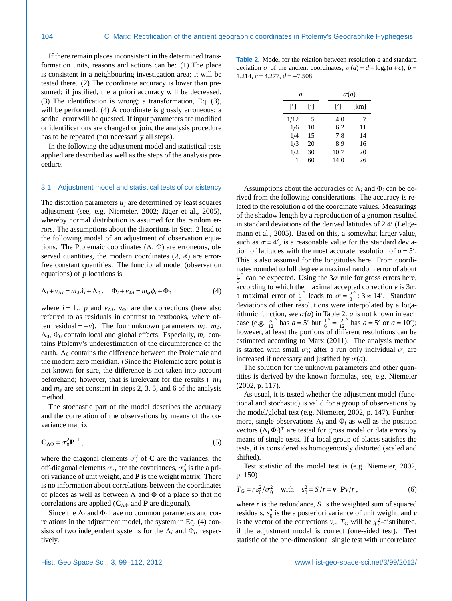If there remain places inconsistent in the determined transformation units, reasons and actions can be: (1) The place is consistent in a neighbouring investigation area; it will be tested there. (2) The coordinate accuracy is lower than presumed; if justified, the a priori accuracy will be decreased. (3) The identification is wrong; a transformation, Eq. [\(3\)](#page-1-2), will be performed. (4) A coordinate is grossly erroneous; a scribal error will be quested. If input parameters are modified or identifications are changed or join, the analysis procedure has to be repeated (not necessarily all steps).

In the following the adjustment model and statistical tests applied are described as well as the steps of the analysis procedure.

#### <span id="page-5-3"></span>3.1 Adjustment model and statistical tests of consistency

The distortion parameters  $u_j$  are determined by least squares adjustment (see, e.g. [Niemeier,](#page-12-13) [2002;](#page-12-13) Jäger et al., [2005\)](#page-12-14), whereby normal distribution is assumed for the random errors. The assumptions about the distortions in Sect. [2](#page-1-3) lead to the following model of an adjustment of observation equations. The Ptolemaic coordinates  $(Λ, Φ)$  are erroneous, observed quantities, the modern coordinates  $(\lambda, \phi)$  are errorfree constant quantities. The functional model (observation equations) of *p* locations is

<span id="page-5-0"></span>
$$
\Lambda_i + \nu_{\Lambda i} = m_\lambda \lambda_i + \Lambda_0 \,, \quad \Phi_i + \nu_{\Phi i} = m_\phi \phi_i + \Phi_0 \tag{4}
$$

where  $i = 1...p$  and  $v_{\Lambda i}$ ,  $v_{\Phi i}$  are the corrections (here also referred to as residuals in contrast to textbooks, where of referred to as residuals in contrast to textbooks, where often residual =  $-v$ ). The four unknown parameters  $m_{\lambda}$ ,  $m_{\phi}$ ,  $Λ_0$ ,  $Φ_0$  contain local and global effects. Especially,  $m_λ$  contains Ptolemy's underestimation of the circumference of the earth.  $\Lambda_0$  contains the difference between the Ptolemaic and the modern zero meridian. (Since the Ptolemaic zero point is not known for sure, the difference is not taken into account beforehand; however, that is irrelevant for the results.)  $m_{\lambda}$ and  $m_{\phi}$  are set constant in steps 2, 3, 5, and 6 of the analysis method.

The stochastic part of the model describes the accuracy and the correlation of the observations by means of the covariance matrix

$$
\mathbf{C}_{\Lambda\Phi} = \sigma_0^2 \mathbf{P}^{-1} \,, \tag{5}
$$

where the diagonal elements  $\sigma_i^2$  of **C** are the variances, the ofoff-diagonal elements  $\sigma_{ij}$  are the covariances,  $\sigma_0^2$  is the a pri-<br>ori variance of unit weight, and **P** is the weight matrix. There ori variance of unit weight, and **P** is the weight matrix. There is no information about correlations between the coordinates of places as well as between  $\Lambda$  and  $\Phi$  of a place so that no correlations are applied (**C**ΛΦ and **P** are diagonal).

Since the  $\Lambda_i$  and  $\Phi_i$  have no common parameters and correlations in the adjustment model, the system in Eq. [\(4\)](#page-5-0) consists of two independent systems for the  $\Lambda_i$  and  $\Phi_i$ , respectively.

<span id="page-5-1"></span>**Table 2.** Model for the relation between resolution *a* and standard deviation  $\sigma$  of the ancient coordinates;  $\sigma(a) = d + \log_b(a+c)$ ,  $b =$ <br>1.214  $c = 4.277$   $d = -7.508$ <sup>1</sup>.214, *<sup>c</sup>* <sup>=</sup> <sup>4</sup>.277, *<sup>d</sup>* <sup>=</sup> <sup>−</sup>7.508.

| $\mathfrak a$ |     |      | $\sigma(a)$ |  |  |  |
|---------------|-----|------|-------------|--|--|--|
| l°l           | ['] | M    | [km]        |  |  |  |
| 1/12          | 5   | 4.0  | 7           |  |  |  |
| 1/6           | 10  | 6.2  | 11          |  |  |  |
| 1/4           | 15  | 7.8  | 14          |  |  |  |
| 1/3           | 20  | 8.9  | 16          |  |  |  |
| 1/2           | 30  | 10.7 | 20          |  |  |  |
|               | 60  | 14.0 | 26          |  |  |  |

Assumptions about the accuracies of  $\Lambda_i$  and  $\Phi_i$  can be derived from the following considerations. The accuracy is related to the resolution *a* of the coordinate values. Measurings of the shadow length by a reproduction of a gnomon resulted in standard deviations of the derived latitudes of 2.4' (Lelge-<br>mann et al. 2005). Based on this a somewhat larger value [mann et al.,](#page-12-15) [2005\)](#page-12-15). Based on this, a somewhat larger value, such as  $\sigma = 4'$ , is a reasonable value for the standard devia-<br>tion of latitudes with the most accurate resolution of  $a = 5'$ . tion of latitudes with the most accurate resolution of  $a = 5'$ . This is also assumed for the longitudes here. From coordinates rounded to full degree a maximal random error of about  $\frac{2}{3}$ can be expected. Using the  $3\sigma$  rule for gross errors here,<br>coording to which the maximal accepted correction v is  $3\sigma$ according to which the maximal accepted correction  $v$  is  $3\sigma$ , a maximal error of  $\frac{2}{3}$ ° leads to  $\sigma = \frac{2}{3}$ <br>solutions were in  $\degree$ : 3  $\approx$  14'. Standard deviations of other resolutions were interpolated by a logarithmic function, see  $\sigma(a)$  in Table [2.](#page-5-1) *a* is not known in each case (e.g.  $\frac{5}{12}$  $\int_{0}^{\infty}$  has  $a = 5'$  but  $\frac{1}{6}$  $\frac{0}{12} = \frac{2}{12}$  $\degree$  has  $a = 5'$  or  $a = 10'$ ; however, at least the portions of different resolutions can be estimated according to [Marx](#page-12-6) [\(2011\)](#page-12-6). The analysis method is started with small  $\sigma_i$ ; after a run only individual  $\sigma_i$  are<br>increased if necessary and justified by  $\sigma(a)$ increased if necessary and justified by  $\sigma(a)$ .

The solution for the unknown parameters and other quantities is derived by the known formulas, see, e.g. [Niemeier](#page-12-13) [\(2002,](#page-12-13) p. 117).

As usual, it is tested whether the adjustment model (functional and stochastic) is valid for a group of observations by the model/global test (e.g. [Niemeier,](#page-12-13) [2002,](#page-12-13) p. 147). Furthermore, single observations  $\Lambda_i$  and  $\Phi_i$  as well as the position vectors  $(\Lambda_i \Phi_i)^T$  are tested for gross model or data errors by means of single tests. If a local group of places satisfies the tests, it is considered as homogenously distorted (scaled and shifted).

Test statistic of the model test is (e.g. [Niemeier,](#page-12-13) [2002,](#page-12-13) p. 150)

<span id="page-5-2"></span>
$$
T_{\rm G} = r s_0^2 / \sigma_0^2 \quad \text{with} \quad s_0^2 = S / r = v^{\rm T} \mathbf{P} v / r \,, \tag{6}
$$

where *r* is the redundance, *S* is the weighted sum of squared residuals,  $s_0^2$  is the a posteriori variance of unit weight, and  $\nu$ is the vector of the corrections  $v_i$ .  $T_G$  will be  $\chi^2_r$ -distributed,<br>if the adjustment model is correct (one-sided test). Test if the adjustment model is correct (one-sided test). Test statistic of the one-dimensional single test with uncorrelated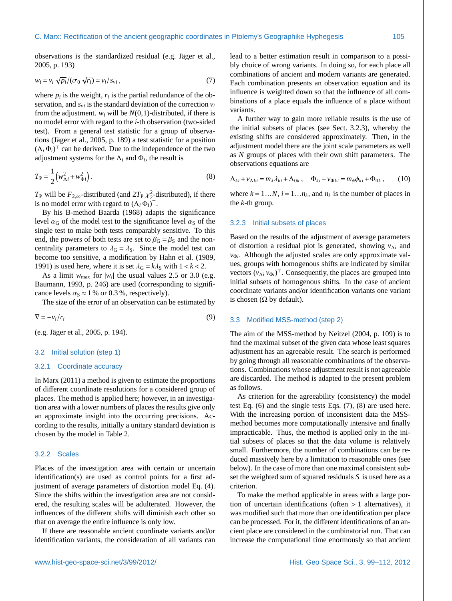observations is the standardized residual (e.g. Jäger et al., [2005,](#page-12-14) p. 193)

<span id="page-6-2"></span>
$$
w_i = v_i \sqrt{p_i}/(\sigma_0 \sqrt{r_i}) = v_i/s_{vi}, \qquad (7)
$$

where  $p_i$  is the weight,  $r_i$  is the partial redundance of the observation, and  $s_{vi}$  is the standard deviation of the correction  $v_i$ from the adjustment.  $w_i$  will be  $N(0,1)$ -distributed, if there is no model error with regard to the *i*-th observation (two-sided test). From a general test statistic for a group of observa-tions (Jäger et al., [2005,](#page-12-14) p. 189) a test statistic for a position  $(\Lambda_i \Phi_i)^T$  can be derived. Due to the independence of the two adjustment systems for the  $\Lambda_i$  and  $\Phi_i$ , the result is

<span id="page-6-3"></span>
$$
T_{\rm P} = \frac{1}{2} \left( w_{\Lambda i}^2 + w_{\Phi i}^2 \right). \tag{8}
$$

 $T_P$  will be  $F_{2,\infty}$ -distributed (and  $2T_P \chi_2^2$ -distributed), if there is no model error with regard to  $(A \cdot \Phi)$ <sup>T</sup> is no model error with regard to  $(\Lambda_i \Phi_i)^\top$ .

By his B-method [Baarda](#page-12-16) [\(1968\)](#page-12-16) adapts the significance level  $\alpha_G$  of the model test to the significance level  $\alpha_S$  of the single test to make both tests comparably sensitive. To this end, the powers of both tests are set to  $\beta$ <sub>G</sub> =  $\beta$ <sub>S</sub> and the noncentrality parameters to  $\lambda$ <sub>G</sub> =  $\lambda$ <sub>S</sub>. Since the model test can become too sensitive, a modification by [Hahn et al.](#page-12-17) [\(1989,](#page-12-17) [1991\)](#page-12-18) is used here, where it is set  $\lambda_G = k\lambda_S$  with  $1 < k < 2$ .

As a limit  $w_{\text{max}}$  for  $|w_i|$  the usual values 2.5 or 3.0 (e.g. [Baumann,](#page-12-19) [1993,](#page-12-19) p. 246) are used (corresponding to significance levels  $\alpha_s \approx 1\%$  or 0.3%, respectively).

The size of the error of an observation can be estimated by

<span id="page-6-6"></span> $\nabla = -v_i/r_i$  (9)

(e.g. Jäger et al., [2005,](#page-12-14) p. 194).

#### <span id="page-6-4"></span>3.2 Initial solution (step 1)

#### 3.2.1 Coordinate accuracy

In [Marx](#page-12-6) [\(2011\)](#page-12-6) a method is given to estimate the proportions of different coordinate resolutions for a considered group of places. The method is applied here; however, in an investigation area with a lower numbers of places the results give only an approximate insight into the occurring precisions. According to the results, initially a unitary standard deviation is chosen by the model in Table [2.](#page-5-1)

# 3.2.2 Scales

Places of the investigation area with certain or uncertain identification(s) are used as control points for a first adjustment of average parameters of distortion model Eq. [\(4\)](#page-5-0). Since the shifts within the investigation area are not considered, the resulting scales will be adulterated. However, the influences of the different shifts will diminish each other so that on average the entire influence is only low.

If there are reasonable ancient coordinate variants and/or identification variants, the consideration of all variants can lead to a better estimation result in comparison to a possibly choice of wrong variants. In doing so, for each place all combinations of ancient and modern variants are generated. Each combination presents an observation equation and its influence is weighted down so that the influence of all combinations of a place equals the influence of a place without variants.

A further way to gain more reliable results is the use of the initial subsets of places (see Sect. [3.2.3\)](#page-6-1), whereby the existing shifts are considered approximately. Then, in the adjustment model there are the joint scale parameters as well as *N* groups of places with their own shift parameters. The observations equations are

<span id="page-6-5"></span>
$$
\Lambda_{ki} + v_{\Lambda ki} = m_{\lambda} \lambda_{ki} + \Lambda_{0k} , \quad \Phi_{ki} + v_{\Phi ki} = m_{\phi} \phi_{ki} + \Phi_{0k} , \qquad (10)
$$

where  $k = 1...N$ ,  $i = 1...n_k$ , and  $n_k$  is the number of places in the *k*-th group.

#### <span id="page-6-1"></span>3.2.3 Initial subsets of places

Based on the results of the adjustment of average parameters of distortion a residual plot is generated, showing *v*<sub>Λ*i*</sub> and *v*<sub>Φ*i*</sub>. Although the adjusted scales are only approximate values, groups with homogenous shifts are indicated by similar vectors  $(v_{\Lambda i} v_{\Phi i})^{\top}$ . Consequently, the places are grouped into initial subsets of homogenous shifts. In the case of ancient coordinate variants and/or identification variants one variant is chosen ( $\Omega$  by default).

#### <span id="page-6-0"></span>3.3 Modified MSS-method (step 2)

The aim of the MSS-method by [Neitzel](#page-12-10) [\(2004,](#page-12-10) p. 109) is to find the maximal subset of the given data whose least squares adjustment has an agreeable result. The search is performed by going through all reasonable combinations of the observations. Combinations whose adjustment result is not agreeable are discarded. The method is adapted to the present problem as follows.

As criterion for the agreeability (consistency) the model test Eq. [\(6\)](#page-5-2) and the single tests Eqs. [\(7\)](#page-6-2), [\(8\)](#page-6-3) are used here. With the increasing portion of inconsistent data the MSSmethod becomes more computationally intensive and finally impracticable. Thus, the method is applied only in the initial subsets of places so that the data volume is relatively small. Furthermore, the number of combinations can be reduced massively here by a limitation to reasonable ones (see below). In the case of more than one maximal consistent subset the weighted sum of squared residuals *S* is used here as a criterion.

To make the method applicable in areas with a large portion of uncertain identifications (often  $> 1$  alternatives), it was modified such that more than one identification per place can be processed. For it, the different identifications of an ancient place are considered in the combinatorial run. That can increase the computational time enormously so that ancient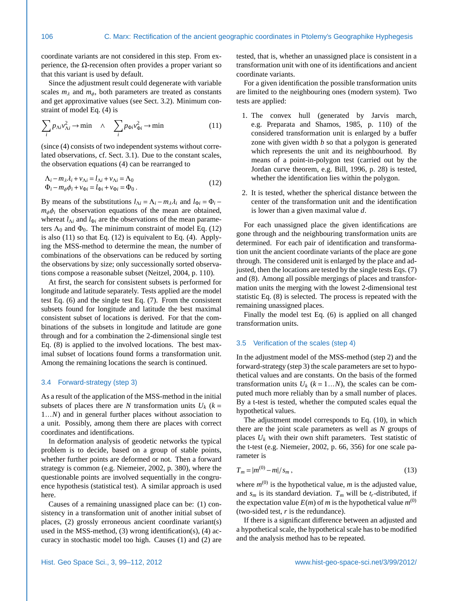coordinate variants are not considered in this step. From experience, the Ω-recension often provides a proper variant so that this variant is used by default.

Since the adjustment result could degenerate with variable scales  $m_\lambda$  and  $m_\phi$ , both parameters are treated as constants and get approximative values (see Sect. [3.2\)](#page-6-4). Minimum constraint of model Eq. [\(4\)](#page-5-0) is

<span id="page-7-1"></span>
$$
\sum_{i} p_{\Lambda i} v_{\Lambda i}^{2} \to \min \quad \wedge \quad \sum_{i} p_{\Phi i} v_{\Phi i}^{2} \to \min \tag{11}
$$

(since [\(4\)](#page-5-0) consists of two independent systems without correlated observations, cf. Sect. [3.1\)](#page-5-3). Due to the constant scales, the observation equations [\(4\)](#page-5-0) can be rearranged to

<span id="page-7-0"></span>
$$
\Delta_i - m_\lambda \lambda_i + \nu_{\Lambda i} = l_{\Lambda i} + \nu_{\Lambda i} = \Lambda_0
$$
  
\n
$$
\Phi_i - m_\phi \phi_i + \nu_{\Phi i} = l_{\Phi i} + \nu_{\Phi i} = \Phi_0.
$$
\n(12)

By means of the substitutions  $l_{\Lambda i} = \Lambda_i - m_{\lambda} \lambda_i$  and  $l_{\Phi i} = \Phi_i$  $m_{\phi}\phi_i$  the observation equations of the mean are obtained, whereat  $l_{\phi}$  and  $l_{\phi}$  are the observations of the mean paramewhereat  $l_{\Lambda i}$  and  $l_{\Phi i}$  are the observations of the mean parameters  $\Lambda_0$  and  $\Phi_0$ . The minimum constraint of model Eq. [\(12\)](#page-7-0) is also [\(11\)](#page-7-1) so that Eq. [\(12\)](#page-7-0) is equivalent to Eq. [\(4\)](#page-5-0). Applying the MSS-method to determine the mean, the number of combinations of the observations can be reduced by sorting the observations by size; only successionally sorted observations compose a reasonable subset [\(Neitzel,](#page-12-10) [2004,](#page-12-10) p. 110).

At first, the search for consistent subsets is performed for longitude and latitude separately. Tests applied are the model test Eq. [\(6\)](#page-5-2) and the single test Eq. [\(7\)](#page-6-2). From the consistent subsets found for longitude and latitude the best maximal consistent subset of locations is derived. For that the combinations of the subsets in longitude and latitude are gone through and for a combination the 2-dimensional single test Eq. [\(8\)](#page-6-3) is applied to the involved locations. The best maximal subset of locations found forms a transformation unit. Among the remaining locations the search is continued.

# <span id="page-7-2"></span>3.4 Forward-strategy (step 3)

As a result of the application of the MSS-method in the initial subsets of places there are *N* transformation units  $U_k$  ( $k =$ <sup>1</sup>...*N*) and in general further places without association to a unit. Possibly, among them there are places with correct coordinates and identifications.

In deformation analysis of geodetic networks the typical problem is to decide, based on a group of stable points, whether further points are deformed or not. Then a forward strategy is common (e.g. [Niemeier,](#page-12-13) [2002,](#page-12-13) p. 380), where the questionable points are involved sequentially in the congruence hypothesis (statistical test). A similar approach is used here.

Causes of a remaining unassigned place can be: (1) consistency in a transformation unit of another initial subset of places, (2) grossly erroneous ancient coordinate variant(s) used in the MSS-method,  $(3)$  wrong identification(s),  $(4)$  accuracy in stochastic model too high. Causes (1) and (2) are tested, that is, whether an unassigned place is consistent in a transformation unit with one of its identifications and ancient coordinate variants.

For a given identification the possible transformation units are limited to the neighbouring ones (modern system). Two tests are applied:

- 1. The convex hull (generated by Jarvis march, e.g. [Preparata and Shamos,](#page-12-20) [1985,](#page-12-20) p. 110) of the considered transformation unit is enlarged by a buffer zone with given width *b* so that a polygon is generated which represents the unit and its neighbourhood. By means of a point-in-polygon test (carried out by the Jordan curve theorem, e.g. [Bill,](#page-12-21) [1996,](#page-12-21) p. 28) is tested, whether the identification lies within the polygon.
- 2. It is tested, whether the spherical distance between the center of the transformation unit and the identification is lower than a given maximal value *d*.

For each unassigned place the given identifications are gone through and the neighbouring transformation units are determined. For each pair of identification and transformation unit the ancient coordinate variants of the place are gone through. The considered unit is enlarged by the place and adjusted, then the locations are tested by the single tests Eqs. [\(7\)](#page-6-2) and [\(8\)](#page-6-3). Among all possible mergings of places and transformation units the merging with the lowest 2-dimensional test statistic Eq. [\(8\)](#page-6-3) is selected. The process is repeated with the remaining unassigned places.

Finally the model test Eq. [\(6\)](#page-5-2) is applied on all changed transformation units.

#### 3.5 Verification of the scales (step 4)

In the adjustment model of the MSS-method (step 2) and the forward-strategy (step 3) the scale parameters are set to hypothetical values and are constants. On the basis of the formed transformation units  $U_k$  ( $k = 1...N$ ), the scales can be computed much more reliably than by a small number of places. By a t-test is tested, whether the computed scales equal the hypothetical values.

The adjustment model corresponds to Eq. [\(10\)](#page-6-5), in which there are the joint scale parameters as well as *N* groups of places  $U_k$  with their own shift parameters. Test statistic of the t-test (e.g. [Niemeier,](#page-12-13) [2002,](#page-12-13) p. 66, 356) for one scale parameter is

$$
T_m = |m^{(0)} - m|/s_m,
$$
\n(13)

where  $m^{(0)}$  is the hypothetical value,  $m$  is the adjusted value, and  $s_m$  is its standard deviation.  $T_m$  will be  $t_r$ -distributed, if the expectation value  $E(m)$  of *m* is the hypothetical value  $m^{(0)}$ (two-sided test,  $r$  is the redundance).

If there is a significant difference between an adjusted and a hypothetical scale, the hypothetical scale has to be modified and the analysis method has to be repeated.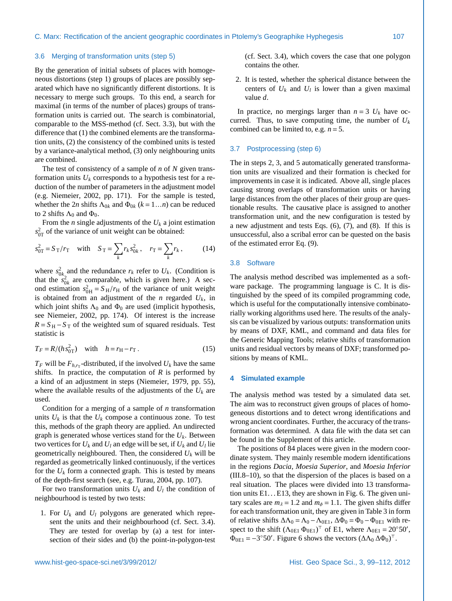# 3.6 Merging of transformation units (step 5)

By the generation of initial subsets of places with homogeneous distortions (step 1) groups of places are possibly separated which have no significantly different distortions. It is necessary to merge such groups. To this end, a search for maximal (in terms of the number of places) groups of transformation units is carried out. The search is combinatorial, comparable to the MSS-method (cf. Sect. [3.3\)](#page-6-0), but with the difference that (1) the combined elements are the transformation units, (2) the consistency of the combined units is tested by a variance-analytical method, (3) only neighbouring units are combined.

The test of consistency of a sample of *n* of *N* given transformation units  $U_k$  corresponds to a hypothesis test for a reduction of the number of parameters in the adjustment model (e.g. [Niemeier,](#page-12-13) [2002,](#page-12-13) pp. 171). For the sample is tested, whether the 2*n* shifts  $\Lambda_{0k}$  and  $\Phi_{0k}$  ( $k = 1...n$ ) can be reduced to 2 shifts  $\Lambda_0$  and  $\Phi_0$ .

From the *n* single adjustments of the  $U_k$  a joint estimation  $s_{0T}^2$  of the variance of unit weight can be obtained:

$$
s_{0T}^2 = S_T/r_T \quad \text{with} \quad S_T = \sum_k r_k s_{0k}^2, \quad r_T = \sum_k r_k, \quad (14)
$$

where  $s_{0k}^2$  and the redundance  $r_k$  refer to  $U_k$ . (Condition is that the  $s_{0k}^2$  are comparable, which is given here.) A second estimation  $s_{OH}^2 = S_H/r_H$  of the variance of unit weight<br>is obtained from an adjustment of the *n* regarded *U<sub>L</sub>* in is obtained from an adjustment of the *n* regarded *Uk*, in which joint shifts  $\Lambda_0$  and  $\Phi_0$  are used (implicit hypothesis, see [Niemeier,](#page-12-13) [2002,](#page-12-13) pp. 174). Of interest is the increase  $R = S_H - S_T$  of the weighted sum of squared residuals. Test statistic is

$$
T_F = R/(h s_{0T}^2) \quad \text{with} \quad h = r_H - r_T \,. \tag{15}
$$

 $T_F$  will be  $F_{h,r_T}$ -distributed, if the involved  $U_k$  have the same shifts. In practice, the computation of *R* is performed by a kind of an adjustment in steps [\(Niemeier,](#page-12-22) [1979,](#page-12-22) pp. 55), where the available results of the adjustments of the  $U_k$  are used.

Condition for a merging of a sample of *n* transformation units  $U_k$  is that the  $U_k$  compose a continuous zone. To test this, methods of the graph theory are applied. An undirected graph is generated whose vertices stand for the  $U_k$ . Between two vertices for  $U_k$  and  $U_l$  an edge will be set, if  $U_k$  and  $U_l$  lie geometrically neighboured. Then, the considered  $U_k$  will be regarded as geometrically linked continuously, if the vertices for the  $U_k$  form a connected graph. This is tested by means of the depth-first search (see, e.g. [Turau,](#page-13-7) [2004,](#page-13-7) pp. 107).

For two transformation units  $U_k$  and  $U_l$  the condition of neighbourhood is tested by two tests:

1. For  $U_k$  and  $U_l$  polygons are generated which represent the units and their neighbourhood (cf. Sect. [3.4\)](#page-7-2). They are tested for overlap by (a) a test for intersection of their sides and (b) the point-in-polygon-test (cf. Sect. [3.4\)](#page-7-2), which covers the case that one polygon contains the other.

2. It is tested, whether the spherical distance between the centers of  $U_k$  and  $U_l$  is lower than a given maximal value *d*.

In practice, no mergings larger than  $n = 3$   $U_k$  have occurred. Thus, to save computing time, the number of  $U_k$ combined can be limited to, e.g. *n* = 5.

# 3.7 Postprocessing (step 6)

The in steps 2, 3, and 5 automatically generated transformation units are visualized and their formation is checked for improvements in case it is indicated. Above all, single places causing strong overlaps of transformation units or having large distances from the other places of their group are questionable results. The causative place is assigned to another transformation unit, and the new configuration is tested by a new adjustment and tests Eqs. [\(6\)](#page-5-2), [\(7\)](#page-6-2), and [\(8\)](#page-6-3). If this is unsuccessful, also a scribal error can be quested on the basis of the estimated error Eq. [\(9\)](#page-6-6).

# 3.8 Software

The analysis method described was implemented as a software package. The programming language is C. It is distinguished by the speed of its compiled programming code, which is useful for the computationally intensive combinatorially working algorithms used here. The results of the analysis can be visualized by various outputs: transformation units by means of DXF, KML, and command and data files for the Generic Mapping Tools; relative shifts of transformation units and residual vectors by means of DXF; transformed positions by means of KML.

# **4 Simulated example**

The analysis method was tested by a simulated data set. The aim was to reconstruct given groups of places of homogeneous distortions and to detect wrong identifications and wrong ancient coordinates. Further, the accuracy of the transformation was determined. A data file with the data set can be found in the Supplement of this article.

The positions of 84 places were given in the modern coordinate system. They mainly resemble modern identifications in the regions *Dacia*, *Moesia Superior*, and *Moesia Inferior* (III.8–10), so that the dispersion of the places is based on a real situation. The places were divided into 13 transformation units  $E1...E13$ , they are shown in Fig. [6.](#page-9-0) The given unitary scales are  $m<sub>\lambda</sub> = 1.2$  and  $m<sub>\phi</sub> = 1.1$ . The given shifts differ for each transformation unit, they are given in Table [3](#page-9-1) in form of relative shifts  $\Delta\Lambda_0 = \Lambda_0 - \Lambda_{0E1}$ ,  $\Delta\Phi_0 = \Phi_0 - \Phi_{0E1}$  with respect to the shift  $(\Lambda_{0E1} \Phi_{0E1})^{\top}$  of E1, where  $\Lambda_{0E1} = 20^{\circ}50'$ ,  $\Phi_{0E1} = -3^{\circ}50'$ . Figure [6](#page-9-0) shows the vectors  $(\Delta\Lambda_0 \Delta\Phi_0)^{\top}$ .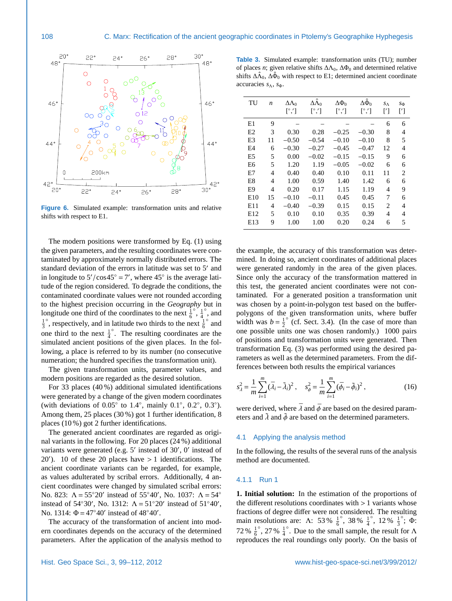

<span id="page-9-0"></span>**Figure 6.** Simulated example: transformation units and relative shifts with respect to E1.

The modern positions were transformed by Eq. [\(1\)](#page-1-1) using the given parameters, and the resulting coordinates were contaminated by approximately normally distributed errors. The standard deviation of the errors in latitude was set to 5' and in longitude to  $5'/\cos 45° = 7'$ , where  $45°$  is the average lati-<br>tude of the region considered. To degrade the conditions, the tude of the region considered. To degrade the conditions, the contaminated coordinate values were not rounded according to the highest precision occurring in the *Geography* but in longitude one third of the coordinates to the next  $\frac{1}{6}$  $\frac{1}{4}$ ◦ , and  $\frac{1}{3}$  $\int_{0}^{\infty}$ , respectively, and in latitude two thirds to the next  $\frac{1}{6}$ ◦ and one third to the next  $\frac{1}{4}$ ◦ . The resulting coordinates are the simulated ancient positions of the given places. In the following, a place is referred to by its number (no consecutive numeration; the hundred specifies the transformation unit).

The given transformation units, parameter values, and modern positions are regarded as the desired solution.

For 33 places (40 %) additional simulated identifications were generated by a change of the given modern coordinates (with deviations of  $0.05^\circ$  to  $1.4^\circ$ , mainly  $0.1^\circ$ ,  $0.2^\circ$ ,  $0.3^\circ$ ).<br>Among them 25 places  $(30\%)$  got 1 further identification 8 Among them, 25 places (30 %) got 1 further identification, 8 places (10 %) got 2 further identifications.

The generated ancient coordinates are regarded as original variants in the following. For 20 places (24 %) additional variants were generated (e.g. 5' instead of 30', 0' instead of  $20'$ ). 10 of these 20 places have  $> 1$  identifications. The ancient coordinate variants can be regarded for example ancient coordinate variants can be regarded, for example, as values adulterated by scribal errors. Additionally, 4 ancient coordinates were changed by simulated scribal errors: No. 823:  $Λ = 55°20'$  instead of 55°40', No. 1037:  $Λ = 54°$ instead of 54°30', No. 1312:  $\Lambda = 51°20'$  instead of 51°40', No. 1314:  $\Phi = 47^{\circ}40'$  instead of  $48^{\circ}40'$ .

The accuracy of the transformation of ancient into modern coordinates depends on the accuracy of the determined parameters. After the application of the analysis method to

<span id="page-9-1"></span>

| <b>Table 3.</b> Simulated example: transformation units (TU); number                                      |
|-----------------------------------------------------------------------------------------------------------|
| of places <i>n</i> ; given relative shifts $\Delta\Lambda_0$ , $\Delta\Phi_0$ and determined relative     |
| shifts $\Delta \hat{\Lambda}_0$ , $\Delta \hat{\Phi}_0$ with respect to E1; determined ancient coordinate |
| accuracies $s_{\Lambda}$ , $s_{\Phi}$ .                                                                   |

| TU             | n  | $\Delta\Lambda_0$      | $\Delta\hat{\Lambda}_0$ | $\Delta\Phi_0$         | $\Delta \hat{\Phi}_0$  | $S_{\Lambda}$  | $S_{\Phi}$      |
|----------------|----|------------------------|-------------------------|------------------------|------------------------|----------------|-----------------|
|                |    | $\lceil^\circ, \rceil$ | $[^\circ,']$            | $\lceil^\circ, \rceil$ | $\lceil^\circ, \rceil$ | $\lceil$       | $\lceil \rceil$ |
| E1             | 9  |                        |                         |                        |                        | 6              | 6               |
| E2             | 3  | 0.30                   | 0.28                    | $-0.25$                | $-0.30$                | 8              | 4               |
| E3             | 11 | $-0.50$                | $-0.54$                 | $-0.10$                | $-0.10$                | 8              | 5               |
| E4             | 6  | $-0.30$                | $-0.27$                 | $-0.45$                | $-0.47$                | 12             | 4               |
| E <sub>5</sub> | 5  | 0.00                   | $-0.02$                 | $-0.15$                | $-0.15$                | 9              | 6               |
| E <sub>6</sub> | 5  | 1.20                   | 1.19                    | $-0.05$                | $-0.02$                | 6              | 6               |
| E7             | 4  | 0.40                   | 0.40                    | 0.10                   | 0.11                   | 11             | $\overline{c}$  |
| E8             | 4  | 1.00                   | 0.59                    | 1.40                   | 1.42                   | 6              | 6               |
| E9             | 4  | 0.20                   | 0.17                    | 1.15                   | 1.19                   | 4              | 9               |
| E10            | 15 | $-0.10$                | $-0.11$                 | 0.45                   | 0.45                   | 7              | 6               |
| E11            | 4  | $-0.40$                | $-0.39$                 | 0.15                   | 0.15                   | $\overline{c}$ | 4               |
| E12            | 5  | 0.10                   | 0.10                    | 0.35                   | 0.39                   | 4              | 4               |
| E13            | 9  | 1.00                   | 1.00                    | 0.20                   | 0.24                   | 6              | 5               |

the example, the accuracy of this transformation was determined. In doing so, ancient coordinates of additional places were generated randomly in the area of the given places. Since only the accuracy of the transformation mattered in this test, the generated ancient coordinates were not contaminated. For a generated position a transformation unit was chosen by a point-in-polygon test based on the bufferpolygons of the given transformation units, where buffer width was  $b = \frac{1}{2}$  $\circ$  (cf. Sect. [3.4\)](#page-7-2). (In the case of more than one possible units one was chosen randomly.) 1000 pairs of positions and transformation units were generated. Then transformation Eq. [\(3\)](#page-1-2) was performed using the desired parameters as well as the determined parameters. From the differences between both results the empirical variances

<span id="page-9-2"></span>
$$
s_{\lambda}^{2} = \frac{1}{m} \sum_{i=1}^{m} (\bar{\lambda}_{i} - \tilde{\lambda}_{i})^{2}, \quad s_{\phi}^{2} = \frac{1}{m} \sum_{i=1}^{m} (\bar{\phi}_{i} - \tilde{\phi}_{i})^{2}, \tag{16}
$$

were derived, where  $\bar{\lambda}$  and  $\bar{\phi}$  are based on the desired parameters and  $\lambda$  and  $\phi$  are based on the determined parameters.

#### 4.1 Applying the analysis method

In the following, the results of the several runs of the analysis method are documented.

#### 4.1.1 Run 1

**1. Initial solution:** In the estimation of the proportions of the different resolutions coordinates with  $> 1$  variants whose fractions of degree differ were not considered. The resulting main resolutions are:  $\Lambda$ : 53 %  $\frac{1}{6}$  $\degree$ , 38 %  $\frac{1}{4}$  $\degree$ , 12 %  $\frac{1}{3}$  $\degree$ ;  $\Phi$ :  $72\%~\frac{1}{6}$  $\degree$ , 27 %  $\frac{1}{4}$ °. Due to the small sample, the result for  $\Lambda$ reproduces the real roundings only poorly. On the basis of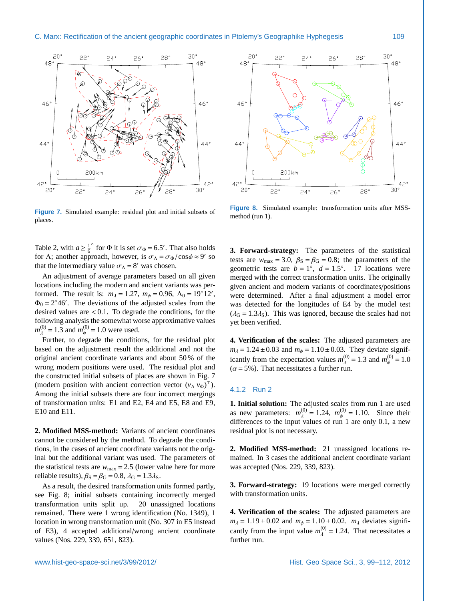

<span id="page-10-0"></span>**Figure 7.** Simulated example: residual plot and initial subsets of places.

Table [2,](#page-5-1) with  $a \geq \frac{1}{6}$ <sup>o</sup> for Φ it is set  $\sigma_{\Phi} = 6.5'$ . That also holds<br>roach however is  $\sigma_{\rm b} = \sigma_{\phi}/\cos \phi \approx 9'$  so for Λ; another approach, however, is  $\sigma_{\Lambda} = \sigma_{\Phi}/\cos \phi \approx 9'$  so that the intermediary value  $\sigma_{\Lambda} = 8'$  was chosen that the intermediary value  $\sigma_{\Lambda} = 8'$  was chosen.

An adjustment of average parameters based on all given locations including the modern and ancient variants was performed. The result is:  $m_{\lambda} = 1.27$ ,  $m_{\phi} = 0.96$ ,  $\Lambda_0 = 19°12'$ ,  $\Phi_0 = 2°46'$ . The deviations of the adjusted scales from the  $\Phi_0 = 2^{\circ}46'$ . The deviations of the adjusted scales from the desired values are  $< 0.1$ . To degrade the conditions, for the following analysis the somewhat worse approximative values  $m_{\lambda}^{(0)} = 1.3$  and  $m_{\phi}^{(0)} = 1.0$  were used.

Further, to degrade the conditions, for the residual plot based on the adjustment result the additional and not the original ancient coordinate variants and about 50 % of the wrong modern positions were used. The residual plot and the constructed initial subsets of places are shown in Fig. [7](#page-10-0) (modern position with ancient correction vector  $(v_\Lambda v_\Phi)^\top$ ). Among the initial subsets there are four incorrect mergings of transformation units: E1 and E2, E4 and E5, E8 and E9, E10 and E11.

**2. Modified MSS-method:** Variants of ancient coordinates cannot be considered by the method. To degrade the conditions, in the cases of ancient coordinate variants not the original but the additional variant was used. The parameters of the statistical tests are  $w_{\text{max}} = 2.5$  (lower value here for more reliable results),  $\beta_S = \beta_G = 0.8$ ,  $\lambda_G = 1.3 \lambda_S$ .

As a result, the desired transformation units formed partly, see Fig. [8;](#page-10-1) initial subsets containing incorrectly merged transformation units split up. 20 unassigned locations remained. There were 1 wrong identification (No. 1349), 1 location in wrong transformation unit (No. 307 in E5 instead of E3), 4 accepted additional/wrong ancient coordinate values (Nos. 229, 339, 651, 823).



<span id="page-10-1"></span>**Figure 8.** Simulated example: transformation units after MSSmethod (run 1).

**3. Forward-strategy:** The parameters of the statistical tests are  $w_{\text{max}} = 3.0$ ,  $\beta_{\text{S}} = \beta_{\text{G}} = 0.8$ ; the parameters of the geometric tests are  $b = 1^\circ$ ,  $d = 1.5^\circ$ . 17 locations were<br>merged with the correct transformation units. The originally merged with the correct transformation units. The originally given ancient and modern variants of coordinates/positions were determined. After a final adjustment a model error was detected for the longitudes of E4 by the model test  $(\lambda_G = 1.3\lambda_S)$ . This was ignored, because the scales had not yet been verified.

**4. Verification of the scales:** The adjusted parameters are  $m_{\lambda} = 1.24 \pm 0.03$  and  $m_{\phi} = 1.10 \pm 0.03$ . They deviate significantly from the expectation values  $m_A^{(0)} = 1.3$  and  $m_\phi^{(0)} = 1.0$ <br>( $\alpha = 5\%$ ) That necessitates a further run  $(\alpha = 5\%)$ . That necessitates a further run.

### 4.1.2 Run 2

**1. Initial solution:** The adjusted scales from run 1 are used as new parameters:  $m_{\lambda}^{(0)} = 1.24$ ,  $m_{\phi}^{(0)} = 1.10$ . Since their differences to the input values of run 1 are only 0.1 a new differences to the input values of run 1 are only 0.1, a new residual plot is not necessary.

**2. Modified MSS-method:** 21 unassigned locations remained. In 3 cases the additional ancient coordinate variant was accepted (Nos. 229, 339, 823).

**3. Forward-strategy:** 19 locations were merged correctly with transformation units.

**4. Verification of the scales:** The adjusted parameters are  $m_{\lambda} = 1.19 \pm 0.02$  and  $m_{\phi} = 1.10 \pm 0.02$ .  $m_{\lambda}$  deviates significantly from the input value  $m_{\lambda}^{(0)} = 1.24$ . That necessitates a further run further run.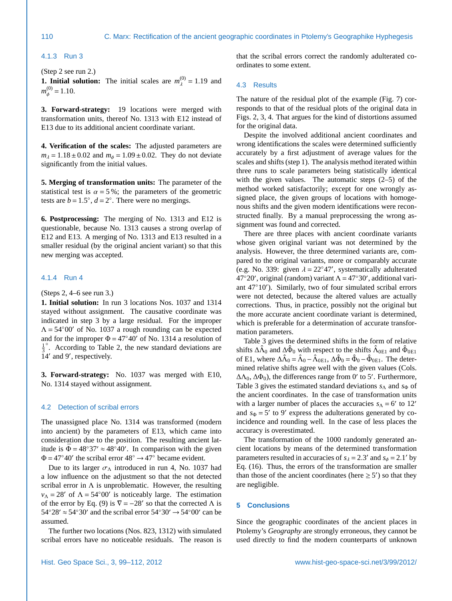#### 4.1.3 Run 3

(Step 2 see run 2.)

**1. Initial solution:** The initial scales are  $m_{\lambda}^{(0)} = 1.19$  and  $m_{\lambda}^{(0)} = 1.10$  $m_{\phi}^{(0)} = 1.10.$ 

**3. Forward-strategy:** 19 locations were merged with transformation units, thereof No. 1313 with E12 instead of E13 due to its additional ancient coordinate variant.

**4. Verification of the scales:** The adjusted parameters are  $m_{\lambda} = 1.18 \pm 0.02$  and  $m_{\phi} = 1.09 \pm 0.02$ . They do not deviate significantly from the initial values.

**5. Merging of transformation units:** The parameter of the statistical test is  $\alpha = 5\%$ ; the parameters of the geometric tests are  $b = 1.5^\circ$ ,  $d = 2^\circ$ . There were no mergings.

**6. Postprocessing:** The merging of No. 1313 and E12 is questionable, because No. 1313 causes a strong overlap of E12 and E13. A merging of No. 1313 and E13 resulted in a smaller residual (by the original ancient variant) so that this new merging was accepted.

#### 4.1.4 Run 4

(Steps 2, 4–6 see run 3.)

**1. Initial solution:** In run 3 locations Nos. 1037 and 1314 stayed without assignment. The causative coordinate was indicated in step 3 by a large residual. For the improper  $\Lambda$  = 54°00′ of No. 1037 a rough rounding can be expected and for the improper  $\Phi = 47°40'$  of No. 1314 a resolution of  $\frac{1}{3}$ ◦ . According to Table [2,](#page-5-1) the new standard deviations are 14' and 9', respectively.

**3. Forward-strategy:** No. 1037 was merged with E10, No. 1314 stayed without assignment.

#### 4.2 Detection of scribal errors

The unassigned place No. 1314 was transformed (modern into ancient) by the parameters of E13, which came into consideration due to the position. The resulting ancient latitude is  $\bar{\Phi} = 48°37' \approx 48°40'$ . In comparison with the given  $\Phi = 47^{\circ}40'$  the scribal error  $48^{\circ} \rightarrow 47^{\circ}$  became evident.

Due to its larger  $\sigma_{\Lambda}$  introduced in run 4, No. 1037 had a low influence on the adjustment so that the not detected scribal error in  $\Lambda$  is unproblematic. However, the resulting  $v_A = 28'$  of  $\Lambda = 54°00'$  is noticeably large. The estimation of the error by Eq. [\(9\)](#page-6-6) is  $\nabla = -28'$  so that the corrected  $\Lambda$  is  $54°28' \approx 54°30'$  and the scribal error  $54°30' \rightarrow 54°00'$  can be assumed.

The further two locations (Nos. 823, 1312) with simulated scribal errors have no noticeable residuals. The reason is

that the scribal errors correct the randomly adulterated coordinates to some extent.

# 4.3 Results

The nature of the residual plot of the example (Fig. [7\)](#page-10-0) corresponds to that of the residual plots of the original data in Figs. [2,](#page-2-0) [3,](#page-2-1) [4.](#page-3-1) That argues for the kind of distortions assumed for the original data.

Despite the involved additional ancient coordinates and wrong identifications the scales were determined sufficiently accurately by a first adjustment of average values for the scales and shifts (step 1). The analysis method iterated within three runs to scale parameters being statistically identical with the given values. The automatic steps (2–5) of the method worked satisfactorily; except for one wrongly assigned place, the given groups of locations with homogenous shifts and the given modern identifications were reconstructed finally. By a manual preprocessing the wrong assignment was found and corrected.

There are three places with ancient coordinate variants whose given original variant was not determined by the analysis. However, the three determined variants are, compared to the original variants, more or comparably accurate (e.g. No. 339: given  $\lambda = 22^{\circ}47'$ , systematically adulterated  $47^{\circ}20'$  original (random) variant  $\Delta = 47^{\circ}30'$  additional vari- $47^{\circ}20'$ , original (random) variant  $\Lambda = 47^{\circ}30'$ , additional variant 47°10'). Similarly, two of four simulated scribal errors were not detected, because the altered values are actually corrections. Thus, in practice, possibly not the original but the more accurate ancient coordinate variant is determined, which is preferable for a determination of accurate transformation parameters.

Table [3](#page-9-1) gives the determined shifts in the form of relative shifts  $\Delta\hat{\Lambda}_0$  and  $\Delta\hat{\Phi}_0$  with respect to the shifts  $\hat{\Lambda}_{0E1}$  and  $\hat{\Phi}_{0E1}$ of E1, where  $\Delta \hat{\Lambda}_0 = \hat{\Lambda}_0 - \hat{\Lambda}_{0E1}$ ,  $\Delta \hat{\Phi}_0 = \hat{\Phi}_0 - \hat{\Phi}_{0E1}$ . The determined relative shifts agree well with the given values (Cols.  $\Delta\Lambda_0$ ,  $\Delta\Phi_0$ ), the differences range from 0' to 5'. Furthermore, Table [3](#page-9-1) gives the estimated standard deviations  $s_\Lambda$  and  $s_\Phi$  of the ancient coordinates. In the case of transformation units with a larger number of places the accuracies  $s_A = 6'$  to 12' and  $s_{\Phi} = 5'$  to 9' express the adulterations generated by coincidence and rounding well. In the case of less places the accuracy is overestimated.

The transformation of the 1000 randomly generated ancient locations by means of the determined transformation parameters resulted in accuracies of  $s_{\lambda} = 2.3'$  and  $s_{\phi} = 2.1'$  by<br>Eq. (16) Thus, the errors of the transformation are smaller Eq. [\(16\)](#page-9-2). Thus, the errors of the transformation are smaller than those of the ancient coordinates (here  $\geq 5'$ ) so that they are negligible.

# **5 Conclusions**

Since the geographic coordinates of the ancient places in Ptolemy's *Geography* are strongly erroneous, they cannot be used directly to find the modern counterparts of unknown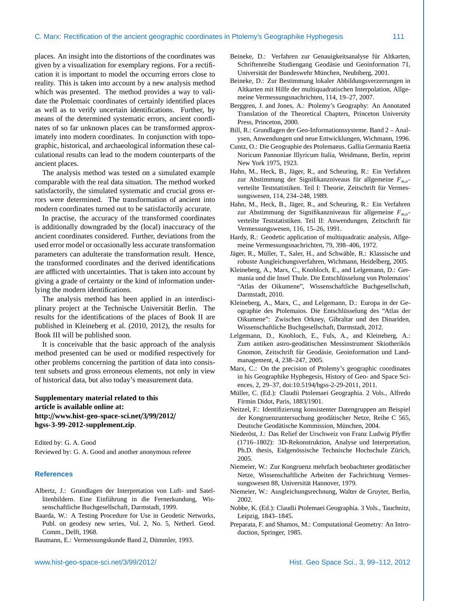places. An insight into the distortions of the coordinates was given by a visualization for exemplary regions. For a rectification it is important to model the occurring errors close to reality. This is taken into account by a new analysis method which was presented. The method provides a way to validate the Ptolemaic coordinates of certainly identified places as well as to verify uncertain identifications. Further, by means of the determined systematic errors, ancient coordinates of so far unknown places can be transformed approximately into modern coordinates. In conjunction with topographic, historical, and archaeological information these calculational results can lead to the modern counterparts of the ancient places.

The analysis method was tested on a simulated example comparable with the real data situation. The method worked satisfactorily, the simulated systematic and crucial gross errors were determined. The transformation of ancient into modern coordinates turned out to be satisfactorily accurate.

In practise, the accuracy of the transformed coordinates is additionally downgraded by the (local) inaccuracy of the ancient coordinates considered. Further, deviations from the used error model or occasionally less accurate transformation parameters can adulterate the transformation result. Hence, the transformed coordinates and the derived identifications are afflicted with uncertainties. That is taken into account by giving a grade of certainty or the kind of information underlying the modern identifications.

The analysis method has been applied in an interdisciplinary project at the Technische Universität Berlin. The results for the identifications of the places of Book II are published in [Kleineberg et al.](#page-12-2) [\(2010,](#page-12-2) [2012\)](#page-12-4), the results for Book III will be published soon.

It is conceivable that the basic approach of the analysis method presented can be used or modified respectively for other problems concerning the partition of data into consistent subsets and gross erroneous elements, not only in view of historical data, but also today's measurement data.

# **Supplementary material related to this article is available online at: http:**//**[www.hist-geo-space-sci.net](http://www.hist-geo-space-sci.net/3/99/2012/hgss-3-99-2012-supplement.zip)**/**3**/**99**/**2012**/ **[hgss-3-99-2012-supplement.zip](http://www.hist-geo-space-sci.net/3/99/2012/hgss-3-99-2012-supplement.zip)**.

Edited by: G. A. Good Reviewed by: G. A. Good and another anonymous referee

# **References**

- <span id="page-12-7"></span>Albertz, J.: Grundlagen der Interpretation von Luft- und Satellitenbildern. Eine Einführung in die Fernerkundung, Wissenschaftliche Buchgesellschaft, Darmstadt, 1999.
- <span id="page-12-16"></span>Baarda, W.: A Testing Procedure for Use in Geodetic Networks, Publ. on geodesy new series, Vol. 2, No. 5, Netherl. Geod. Comm., Delft, 1968.

<span id="page-12-19"></span>Baumann, E.: Vermessungskunde Band 2, Dümmler, 1993.

- <span id="page-12-0"></span>Beineke, D.: Verfahren zur Genauigkeitsanalyse für Altkarten, Schriftenreihe Studiengang Geodäsie und Geoinformation 71, Universität der Bundeswehr München, Neubiberg, 2001.
- <span id="page-12-8"></span>Beineke, D.: Zur Bestimmung lokaler Abbildungsverzerrungen in Altkarten mit Hilfe der multiquadratischen Interpolation, Allgemeine Vermessungsnachrichten, 114, 19–27, 2007.
- <span id="page-12-5"></span>Berggren, J. and Jones, A.: Ptolemy's Geography: An Annotated Translation of the Theoretical Chapters, Princeton University Press, Princeton, 2000.
- <span id="page-12-21"></span>Bill, R.: Grundlagen der Geo-Informationssysteme. Band 2 – Analysen, Anwendungen und neue Entwicklungen, Wichmann, 1996.
- <span id="page-12-3"></span>Cuntz, O.: Die Geographie des Ptolemaeus. Gallia Germania Raetia Noricum Pannoniae Illyricum Italia, Weidmann, Berlin, reprint New York 1975, 1923.
- <span id="page-12-17"></span>Hahn, M., Heck, B., Jäger, R., and Scheuring, R.: Ein Verfahren zur Abstimmung der Signifikanzniveaus für allgemeine  $F_{m,n}$ verteilte Teststatistiken. Teil I: Theorie, Zeitschrift für Vermessungswesen, 114, 234–248, 1989.
- <span id="page-12-18"></span>Hahn, M., Heck, B., Jäger, R., and Scheuring, R.: Ein Verfahren zur Abstimmung der Signifikanzniveaus für allgemeine  $F_{mn}$ verteilte Teststatistiken. Teil II: Anwendungen, Zeitschrift für Vermessungswesen, 116, 15–26, 1991.
- <span id="page-12-9"></span>Hardy, R.: Geodetic application of multiquadratic analysis, Allgemeine Vermessungsnachrichten, 79, 398–406, 1972.
- <span id="page-12-14"></span>Jäger, R., Müller, T., Saler, H., and Schwäble, R.: Klassische und robuste Ausgleichungsverfahren, Wichmann, Heidelberg, 2005.
- <span id="page-12-2"></span>Kleineberg, A., Marx, C., Knobloch, E., and Lelgemann, D.: Germania und die Insel Thule. Die Entschlüsselung von Ptolemaios' "Atlas der Oikumene", Wissenschaftliche Buchgesellschaft, Darmstadt, 2010.
- <span id="page-12-4"></span>Kleineberg, A., Marx, C., and Lelgemann, D.: Europa in der Geographie des Ptolemaios. Die Entschlusselung des "Atlas der ¨ Oikumene": Zwischen Orkney, Gibraltar und den Dinariden, Wissenschaftliche Buchgesellschaft, Darmstadt, 2012.
- <span id="page-12-15"></span>Lelgemann, D., Knobloch, E., Fuls, A., and Kleineberg, A.: Zum antiken astro-geodätischen Messinstrument Skiotherikós Gnomon, Zeitschrift für Geodäsie, Geoinformation und Landmanagement, 4, 238–247, 2005.
- <span id="page-12-6"></span>Marx, C.: On the precision of Ptolemy's geographic coordinates in his Geographike Hyphegesis, History of Geo- and Space Sciences, 2, 29–37, doi:10.5194/[hgss-2-29-2011,](http://dx.doi.org/10.5194/hgss-2-29-2011) 2011.
- <span id="page-12-12"></span>Müller, C. (Ed.): Claudii Ptolemaei Geographia. 2 Vols., Alfredo Firmin Didot, Paris, 1883/1901.
- <span id="page-12-10"></span>Neitzel, F.: Identifizierung konsistenter Datengruppen am Beispiel der Kongruenzuntersuchung geodätischer Netze, Reihe C 565, Deutsche Geodätische Kommission, München, 2004.
- <span id="page-12-1"></span>Niederöst, J.: Das Relief der Urschweiz von Franz Ludwig Pfyffer (1716–1802): 3D-Rekonstruktion, Analyse und Interpretation, Ph.D. thesis, Eidgenössische Technische Hochschule Zürich, 2005.
- <span id="page-12-22"></span>Niemeier, W.: Zur Kongruenz mehrfach beobachteter geodätischer Netze, Wissenschaftliche Arbeiten der Fachrichtung Vermessungswesen 88, Universität Hannover, 1979.
- <span id="page-12-13"></span>Niemeier, W.: Ausgleichungsrechnung, Walter de Gruyter, Berlin, 2002.
- <span id="page-12-11"></span>Nobbe, K. (Ed.): Claudii Ptolemaei Geographia. 3 Vols., Tauchnitz, Leipzig, 1843–1845.
- <span id="page-12-20"></span>Preparata, F. and Shamos, M.: Computational Geometry: An Introduction, Springer, 1985.